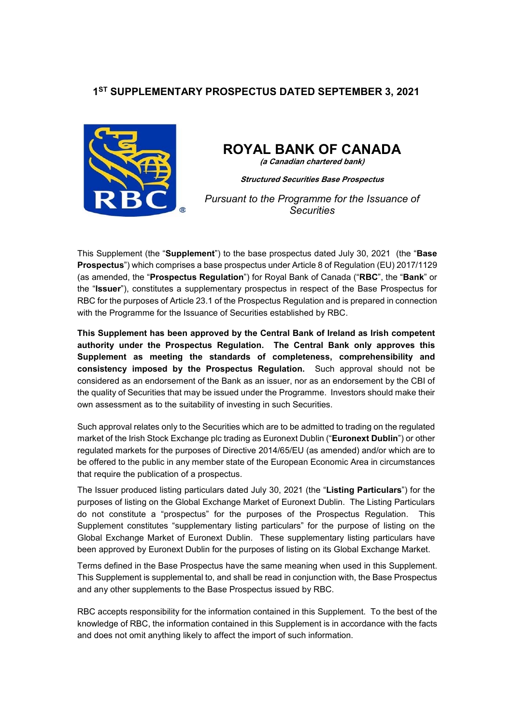### **1ST SUPPLEMENTARY PROSPECTUS DATED SEPTEMBER 3, 2021**



# **ROYAL BANK OF CANADA**

**(a Canadian chartered bank)**

**Structured Securities Base Prospectus**

*Pursuant to the Programme for the Issuance of Securities* 

This Supplement (the "**Supplement**") to the base prospectus dated July 30, 2021 (the "**Base Prospectus**") which comprises a base prospectus under Article 8 of Regulation (EU) 2017/1129 (as amended, the "**Prospectus Regulation**") for Royal Bank of Canada ("**RBC**", the "**Bank**" or the "**Issuer**"), constitutes a supplementary prospectus in respect of the Base Prospectus for RBC for the purposes of Article 23.1 of the Prospectus Regulation and is prepared in connection with the Programme for the Issuance of Securities established by RBC.

**This Supplement has been approved by the Central Bank of Ireland as Irish competent authority under the Prospectus Regulation. The Central Bank only approves this Supplement as meeting the standards of completeness, comprehensibility and consistency imposed by the Prospectus Regulation.** Such approval should not be considered as an endorsement of the Bank as an issuer, nor as an endorsement by the CBI of the quality of Securities that may be issued under the Programme. Investors should make their own assessment as to the suitability of investing in such Securities.

Such approval relates only to the Securities which are to be admitted to trading on the regulated market of the Irish Stock Exchange plc trading as Euronext Dublin ("**Euronext Dublin**") or other regulated markets for the purposes of Directive 2014/65/EU (as amended) and/or which are to be offered to the public in any member state of the European Economic Area in circumstances that require the publication of a prospectus.

The Issuer produced listing particulars dated July 30, 2021 (the "**Listing Particulars**") for the purposes of listing on the Global Exchange Market of Euronext Dublin. The Listing Particulars do not constitute a "prospectus" for the purposes of the Prospectus Regulation. This Supplement constitutes "supplementary listing particulars" for the purpose of listing on the Global Exchange Market of Euronext Dublin. These supplementary listing particulars have been approved by Euronext Dublin for the purposes of listing on its Global Exchange Market.

Terms defined in the Base Prospectus have the same meaning when used in this Supplement. This Supplement is supplemental to, and shall be read in conjunction with, the Base Prospectus and any other supplements to the Base Prospectus issued by RBC.

RBC accepts responsibility for the information contained in this Supplement. To the best of the knowledge of RBC, the information contained in this Supplement is in accordance with the facts and does not omit anything likely to affect the import of such information.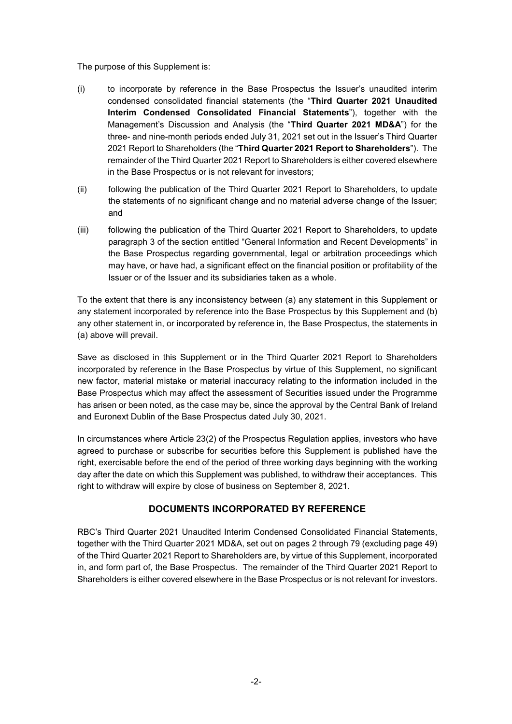The purpose of this Supplement is:

- (i) to incorporate by reference in the Base Prospectus the Issuer's unaudited interim condensed consolidated financial statements (the "**Third Quarter 2021 Unaudited Interim Condensed Consolidated Financial Statements**"), together with the Management's Discussion and Analysis (the "**Third Quarter 2021 MD&A**") for the three- and nine-month periods ended July 31, 2021 set out in the Issuer's Third Quarter 2021 Report to Shareholders (the "**Third Quarter 2021 Report to Shareholders**"). The remainder of the Third Quarter 2021 Report to Shareholders is either covered elsewhere in the Base Prospectus or is not relevant for investors;
- (ii) following the publication of the Third Quarter 2021 Report to Shareholders, to update the statements of no significant change and no material adverse change of the Issuer; and
- (iii) following the publication of the Third Quarter 2021 Report to Shareholders, to update paragraph 3 of the section entitled "General Information and Recent Developments" in the Base Prospectus regarding governmental, legal or arbitration proceedings which may have, or have had, a significant effect on the financial position or profitability of the Issuer or of the Issuer and its subsidiaries taken as a whole.

To the extent that there is any inconsistency between (a) any statement in this Supplement or any statement incorporated by reference into the Base Prospectus by this Supplement and (b) any other statement in, or incorporated by reference in, the Base Prospectus, the statements in (a) above will prevail.

Save as disclosed in this Supplement or in the Third Quarter 2021 Report to Shareholders incorporated by reference in the Base Prospectus by virtue of this Supplement, no significant new factor, material mistake or material inaccuracy relating to the information included in the Base Prospectus which may affect the assessment of Securities issued under the Programme has arisen or been noted, as the case may be, since the approval by the Central Bank of Ireland and Euronext Dublin of the Base Prospectus dated July 30, 2021.

In circumstances where Article 23(2) of the Prospectus Regulation applies, investors who have agreed to purchase or subscribe for securities before this Supplement is published have the right, exercisable before the end of the period of three working days beginning with the working day after the date on which this Supplement was published, to withdraw their acceptances. This right to withdraw will expire by close of business on September 8, 2021.

## **DOCUMENTS INCORPORATED BY REFERENCE**

RBC's Third Quarter 2021 Unaudited Interim Condensed Consolidated Financial Statements, together with the Third Quarter 2021 MD&A, set out on pages 2 through 79 (excluding page 49) of the Third Quarter 2021 Report to Shareholders are, by virtue of this Supplement, incorporated in, and form part of, the Base Prospectus. The remainder of the Third Quarter 2021 Report to Shareholders is either covered elsewhere in the Base Prospectus or is not relevant for investors.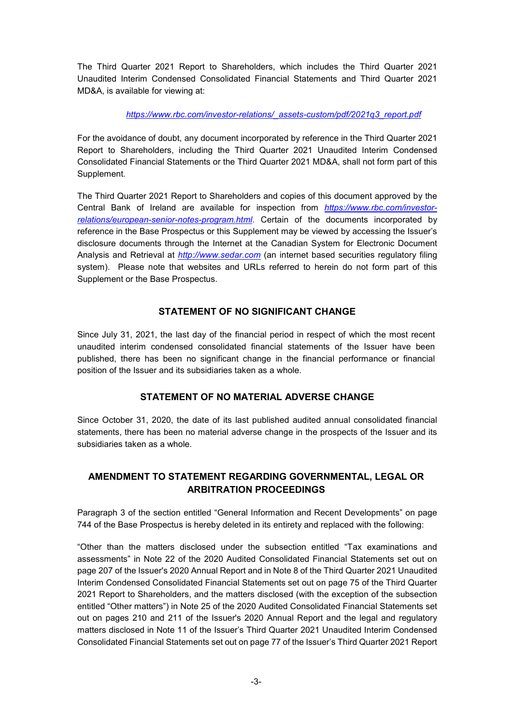The Third Quarter 2021 Report to Shareholders, which includes the Third Quarter 2021 Unaudited Interim Condensed Consolidated Financial Statements and Third Quarter 2021 MD&A, is available for viewing at:

#### *https://www.rbc.com/investor-relations/\_assets-custom/pdf/2021q3\_report.pdf*

For the avoidance of doubt, any document incorporated by reference in the Third Quarter 2021 Report to Shareholders, including the Third Quarter 2021 Unaudited Interim Condensed Consolidated Financial Statements or the Third Quarter 2021 MD&A, shall not form part of this Supplement.

The Third Quarter 2021 Report to Shareholders and copies of this document approved by the Central Bank of Ireland are available for inspection from *https://www.rbc.com/investorrelations/european-senior-notes-program.html*. Certain of the documents incorporated by reference in the Base Prospectus or this Supplement may be viewed by accessing the Issuer's disclosure documents through the Internet at the Canadian System for Electronic Document Analysis and Retrieval at *http://www.sedar.com* (an internet based securities regulatory filing system). Please note that websites and URLs referred to herein do not form part of this Supplement or the Base Prospectus.

## **STATEMENT OF NO SIGNIFICANT CHANGE**

Since July 31, 2021, the last day of the financial period in respect of which the most recent unaudited interim condensed consolidated financial statements of the Issuer have been published, there has been no significant change in the financial performance or financial position of the Issuer and its subsidiaries taken as a whole.

## **STATEMENT OF NO MATERIAL ADVERSE CHANGE**

Since October 31, 2020, the date of its last published audited annual consolidated financial statements, there has been no material adverse change in the prospects of the Issuer and its subsidiaries taken as a whole.

## **AMENDMENT TO STATEMENT REGARDING GOVERNMENTAL, LEGAL OR ARBITRATION PROCEEDINGS**

Paragraph 3 of the section entitled "General Information and Recent Developments" on page 744 of the Base Prospectus is hereby deleted in its entirety and replaced with the following:

"Other than the matters disclosed under the subsection entitled "Tax examinations and assessments" in Note 22 of the 2020 Audited Consolidated Financial Statements set out on page 207 of the Issuer's 2020 Annual Report and in Note 8 of the Third Quarter 2021 Unaudited Interim Condensed Consolidated Financial Statements set out on page 75 of the Third Quarter 2021 Report to Shareholders, and the matters disclosed (with the exception of the subsection entitled "Other matters") in Note 25 of the 2020 Audited Consolidated Financial Statements set out on pages 210 and 211 of the Issuer's 2020 Annual Report and the legal and regulatory matters disclosed in Note 11 of the Issuer's Third Quarter 2021 Unaudited Interim Condensed Consolidated Financial Statements set out on page 77 of the Issuer's Third Quarter 2021 Report